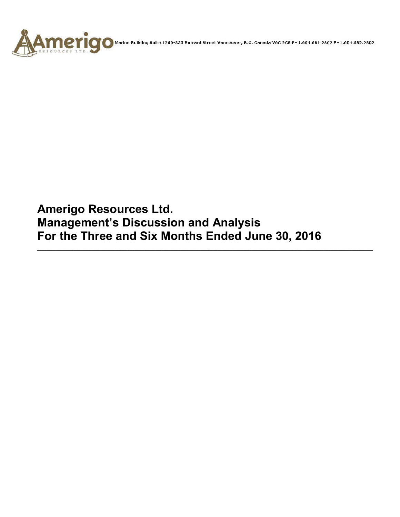

AMCYI CO Marine Building Suite 1260-355 Burrard Street Vancouver, B.C. Canada V6C 2G8 P+1.604.681.2802 F+1.604.682.2802

**Amerigo Resources Ltd. Management's Discussion and Analysis For the Three and Six Months Ended June 30, 2016**

**\_\_\_\_\_\_\_\_\_\_\_\_\_\_\_\_\_\_\_\_\_\_\_\_\_\_\_\_\_\_\_\_\_\_\_\_\_\_\_\_\_\_\_\_\_\_\_\_\_\_\_\_\_\_\_\_\_\_\_\_\_\_\_\_\_\_\_\_\_\_\_\_\_\_\_\_\_\_\_\_\_\_\_\_**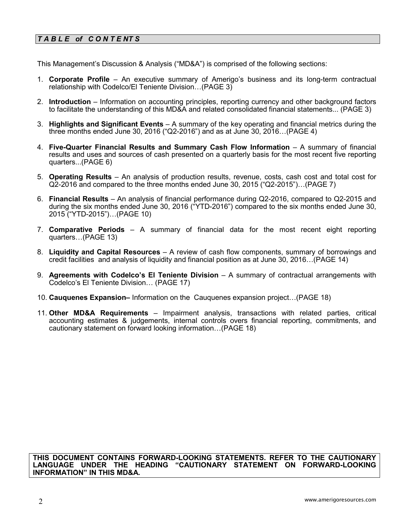# *T A B L E of C O N T E NT S*

This Management's Discussion & Analysis ("MD&A") is comprised of the following sections:

- 1. **Corporate Profile**  An executive summary of Amerigo's business and its long-term contractual relationship with Codelco/El Teniente Division…(PAGE 3)
- 2. **Introduction**  Information on accounting principles, reporting currency and other background factors to facilitate the understanding of this MD&A and related consolidated financial statements... (PAGE 3)
- 3. **Highlights and Significant Events** A summary of the key operating and financial metrics during the three months ended June 30, 2016 ("Q2-2016") and as at June 30, 2016…(PAGE 4)
- 4. **Five-Quarter Financial Results and Summary Cash Flow Information** A summary of financial results and uses and sources of cash presented on a quarterly basis for the most recent five reporting quarters...(PAGE 6)
- 5. **Operating Results** An analysis of production results, revenue, costs, cash cost and total cost for Q2-2016 and compared to the three months ended June 30, 2015 ("Q2-2015")…(PAGE 7)
- 6. **Financial Results** An analysis of financial performance during Q2-2016, compared to Q2-2015 and during the six months ended June 30, 2016 ("YTD-2016") compared to the six months ended June 30, 2015 ("YTD-2015")…(PAGE 10)
- 7. **Comparative Periods** A summary of financial data for the most recent eight reporting quarters…(PAGE 13)
- 8. **Liquidity and Capital Resources** A review of cash flow components, summary of borrowings and credit facilities and analysis of liquidity and financial position as at June 30, 2016…(PAGE 14)
- 9. **Agreements with Codelco's El Teniente Division** A summary of contractual arrangements with Codelco's El Teniente Division… (PAGE 17)
- 10. **Cauquenes Expansion–** Information on the Cauquenes expansion project…(PAGE 18)
- 11. **Other MD&A Requirements** Impairment analysis, transactions with related parties, critical accounting estimates & judgements, internal controls overs financial reporting, commitments, and cautionary statement on forward looking information…(PAGE 18)

**THIS DOCUMENT CONTAINS FORWARD-LOOKING STATEMENTS. REFER TO THE CAUTIONARY LANGUAGE UNDER THE HEADING "CAUTIONARY STATEMENT ON FORWARD-LOOKING INFORMATION" IN THIS MD&A.**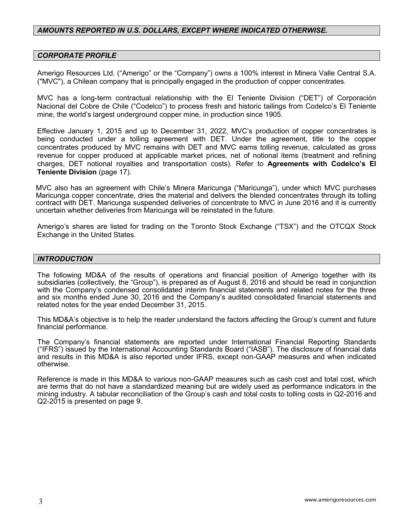# *AMOUNTS REPORTED IN U.S. DOLLARS, EXCEPT WHERE INDICATED OTHERWISE.*

#### *CORPORATE PROFILE*

Amerigo Resources Ltd. ("Amerigo" or the "Company") owns a 100% interest in Minera Valle Central S.A. ("MVC"), a Chilean company that is principally engaged in the production of copper concentrates.

MVC has a long-term contractual relationship with the El Teniente Division ("DET") of Corporación Nacional del Cobre de Chile ("Codelco") to process fresh and historic tailings from Codelco's El Teniente mine, the world's largest underground copper mine, in production since 1905.

Effective January 1, 2015 and up to December 31, 2022, MVC's production of copper concentrates is being conducted under a tolling agreement with DET. Under the agreement, title to the copper concentrates produced by MVC remains with DET and MVC earns tolling revenue, calculated as gross revenue for copper produced at applicable market prices, net of notional items (treatment and refining charges, DET notional royalties and transportation costs). Refer to **Agreements with Codelco's El Teniente Division** (page 17).

MVC also has an agreement with Chile's Minera Maricunga ("Maricunga"), under which MVC purchases Maricunga copper concentrate, dries the material and delivers the blended concentrates through its tolling contract with DET. Maricunga suspended deliveries of concentrate to MVC in June 2016 and it is currently uncertain whether deliveries from Maricunga will be reinstated in the future.

Amerigo's shares are listed for trading on the Toronto Stock Exchange ("TSX") and the OTCQX Stock Exchange in the United States.

#### *INTRODUCTION*

The following MD&A of the results of operations and financial position of Amerigo together with its subsidiaries (collectively, the "Group"), is prepared as of August 8, 2016 and should be read in conjunction with the Company's condensed consolidated interim financial statements and related notes for the three and six months ended June 30, 2016 and the Company's audited consolidated financial statements and related notes for the year ended December 31, 2015.

This MD&A's objective is to help the reader understand the factors affecting the Group's current and future financial performance.

The Company's financial statements are reported under International Financial Reporting Standards ("IFRS") issued by the International Accounting Standards Board ("IASB"). The disclosure of financial data and results in this MD&A is also reported under IFRS, except non-GAAP measures and when indicated otherwise.

Reference is made in this MD&A to various non-GAAP measures such as cash cost and total cost, which are terms that do not have a standardized meaning but are widely used as performance indicators in the mining industry. A tabular reconciliation of the Group's cash and total costs to tolling costs in Q2-2016 and Q2-2015 is presented on page 9.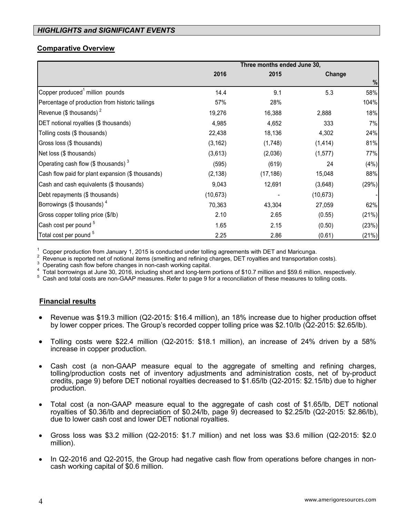# *HIGHLIGHTS and SIGNIFICANT EVENTS*

# **Comparative Overview**

|                                                   | Three months ended June 30, |           |           |       |  |
|---------------------------------------------------|-----------------------------|-----------|-----------|-------|--|
|                                                   | 2016                        | 2015      | Change    |       |  |
|                                                   |                             |           |           | $\%$  |  |
| Copper produced <sup>1</sup> million pounds       | 14.4                        | 9.1       | 5.3       | 58%   |  |
| Percentage of production from historic tailings   | 57%                         | 28%       |           | 104%  |  |
| Revenue (\$ thousands) $2$                        | 19,276                      | 16,388    | 2,888     | 18%   |  |
| DET notional royalties (\$ thousands)             | 4,985                       | 4,652     | 333       | 7%    |  |
| Tolling costs (\$ thousands)                      | 22,438                      | 18,136    | 4,302     | 24%   |  |
| Gross loss (\$ thousands)                         | (3, 162)                    | (1,748)   | (1, 414)  | 81%   |  |
| Net loss (\$ thousands)                           | (3,613)                     | (2,036)   | (1, 577)  | 77%   |  |
| Operating cash flow (\$ thousands) $3$            | (595)                       | (619)     | 24        | (4% ) |  |
| Cash flow paid for plant expansion (\$ thousands) | (2, 138)                    | (17, 186) | 15,048    | 88%   |  |
| Cash and cash equivalents (\$ thousands)          | 9,043                       | 12,691    | (3,648)   | (29%) |  |
| Debt repayments (\$ thousands)                    | (10, 673)                   |           | (10, 673) |       |  |
| Borrowings $($$ thousands) <sup>4</sup>           | 70,363                      | 43,304    | 27,059    | 62%   |  |
| Gross copper tolling price (\$/lb)                | 2.10                        | 2.65      | (0.55)    | (21%) |  |
| Cash cost per pound <sup>5</sup>                  | 1.65                        | 2.15      | (0.50)    | (23%) |  |
| Total cost per pound <sup>5</sup>                 | 2.25                        | 2.86      | (0.61)    | (21%) |  |

<sup>1</sup> Copper production from January 1, 2015 is conducted under tolling agreements with DET and Maricunga.<br>
<sup>2</sup> Revenue is reported net of notional items (smelting and refining charges, DET royalties and transportation cost

Cash and total costs are non-GAAP measures. Refer to page 9 for a reconciliation of these measures to tolling costs.

# **Financial results**

- Revenue was \$19.3 million (Q2-2015: \$16.4 million), an 18% increase due to higher production offset by lower copper prices. The Group's recorded copper tolling price was \$2.10/lb (Q2-2015: \$2.65/lb).
- Tolling costs were \$22.4 million (Q2-2015: \$18.1 million), an increase of 24% driven by a 58% increase in copper production.
- Cash cost (a non-GAAP measure equal to the aggregate of smelting and refining charges, tolling/production costs net of inventory adjustments and administration costs, net of by-product credits, page 9) before DET notional royalties decreased to \$1.65/lb (Q2-2015: \$2.15/lb) due to higher production.
- Total cost (a non-GAAP measure equal to the aggregate of cash cost of \$1.65/lb, DET notional royalties of \$0.36/lb and depreciation of \$0.24/lb, page 9) decreased to \$2.25/lb (Q2-2015: \$2.86/lb), due to lower cash cost and lower DET notional royalties.
- Gross loss was \$3.2 million (Q2-2015: \$1.7 million) and net loss was \$3.6 million (Q2-2015: \$2.0 million).
- In Q2-2016 and Q2-2015, the Group had negative cash flow from operations before changes in noncash working capital of \$0.6 million.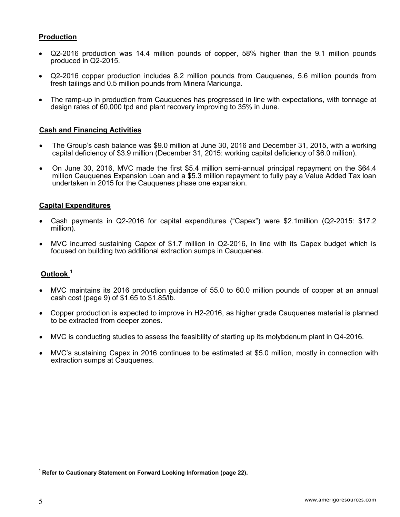# **Production**

- Q2-2016 production was 14.4 million pounds of copper, 58% higher than the 9.1 million pounds produced in Q2-2015.
- Q2-2016 copper production includes 8.2 million pounds from Cauquenes, 5.6 million pounds from fresh tailings and 0.5 million pounds from Minera Maricunga.
- The ramp-up in production from Cauquenes has progressed in line with expectations, with tonnage at design rates of 60,000 tpd and plant recovery improving to 35% in June.

#### **Cash and Financing Activities**

- The Group's cash balance was \$9.0 million at June 30, 2016 and December 31, 2015, with a working capital deficiency of \$3.9 million (December 31, 2015: working capital deficiency of \$6.0 million).
- On June 30, 2016, MVC made the first \$5.4 million semi-annual principal repayment on the \$64.4 million Cauquenes Expansion Loan and a \$5.3 million repayment to fully pay a Value Added Tax loan undertaken in 2015 for the Cauquenes phase one expansion.

#### **Capital Expenditures**

- Cash payments in Q2-2016 for capital expenditures ("Capex") were \$2.1million (Q2-2015: \$17.2 million).
- MVC incurred sustaining Capex of \$1.7 million in Q2-2016, in line with its Capex budget which is focused on building two additional extraction sumps in Cauquenes.

### **Outlook <sup>1</sup>**

- MVC maintains its 2016 production guidance of 55.0 to 60.0 million pounds of copper at an annual cash cost (page 9) of \$1.65 to \$1.85/lb.
- Copper production is expected to improve in H2-2016, as higher grade Cauquenes material is planned to be extracted from deeper zones.
- MVC is conducting studies to assess the feasibility of starting up its molybdenum plant in Q4-2016.
- MVC's sustaining Capex in 2016 continues to be estimated at \$5.0 million, mostly in connection with extraction sumps at Cauquenes.

**<sup>1</sup> Refer to Cautionary Statement on Forward Looking Information (page 22).**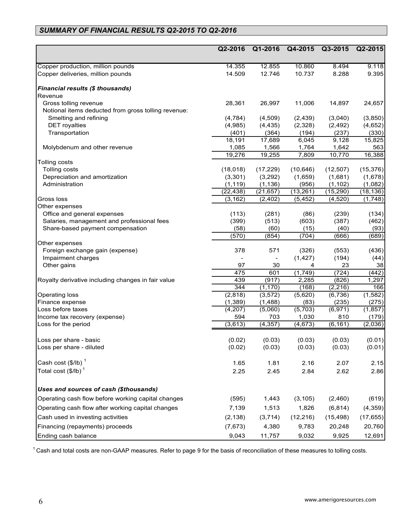# *SUMMARY OF FINANCIAL RESULTS Q2-2015 TO Q2-2016*

|                                                     | Q2-2016         | Q1-2016         | Q4-2015          | Q3-2015        | Q2-2015        |
|-----------------------------------------------------|-----------------|-----------------|------------------|----------------|----------------|
| Copper production, million pounds                   | 14.355          | 12.855          | 10.860           | 8.494          | 9.118          |
| Copper deliveries, million pounds                   | 14.509          | 12.746          | 10.737           | 8.288          | 9.395          |
| <b>Financial results (\$ thousands)</b>             |                 |                 |                  |                |                |
| Revenue                                             |                 |                 |                  |                |                |
| Gross tolling revenue                               | 28,361          | 26,997          | 11,006           | 14,897         | 24,657         |
| Notional items deducted from gross tolling revenue: |                 |                 |                  |                |                |
| Smelting and refining                               | (4,784)         | (4,509)         | (2, 439)         | (3,040)        | (3,850)        |
| <b>DET</b> royalties                                | (4,985)         | (4, 435)        | (2,328)          | (2, 492)       | (4,652)        |
| Transportation                                      | (401)           | (364)           | (194)            | (237)          | (330)          |
| Molybdenum and other revenue                        | 18,191<br>1,085 | 17,689<br>1,566 | 6,045<br>1,764   | 9,128<br>1,642 | 15,825         |
|                                                     | 19,276          | 19,255          | 7,809            | 10,770         | 563<br>16,388  |
| Tolling costs                                       |                 |                 |                  |                |                |
| Tolling costs                                       | (18,018)        | (17, 229)       | (10, 646)        | (12, 507)      | (15, 376)      |
| Depreciation and amortization                       | (3,301)         | (3,292)         | (1,659)          | (1,681)        | (1,678)        |
| Administration                                      | (1, 119)        | (1, 136)        | (956)            | (1, 102)       | (1,082)        |
|                                                     | (22, 438)       | (21, 657)       | (13, 261)        | (15, 290)      | (18, 136)      |
| Gross loss                                          | (3, 162)        | (2, 402)        | (5, 452)         | (4, 520)       | (1,748)        |
| Other expenses                                      |                 |                 |                  |                |                |
| Office and general expenses                         | (113)           | (281)           | (86)             | (239)          | (134)          |
| Salaries, management and professional fees          | (399)           | (513)           | (603)            | (387)          | (462)          |
| Share-based payment compensation                    | (58)            | (60)            | (15)             | (40)           | (93)           |
|                                                     | (570)           | (854)           | (704)            | (666)          | (689)          |
| Other expenses                                      |                 |                 |                  |                |                |
| Foreign exchange gain (expense)                     | 378             | 571             | (326)            | (553)          | (436)          |
| Impairment charges                                  |                 |                 | (1, 427)         | (194)          | (44)           |
| Other gains                                         | 97              | 30              | 4                | 23             | 38             |
| Royalty derivative including changes in fair value  | 475<br>439      | 601<br>(917)    | (1,749)<br>2,285 | (724)<br>(826) | (442)<br>1,297 |
|                                                     | 344             | (1, 170)        | (168)            | (2, 216)       | 166            |
| Operating loss                                      | (2,818)         | (3, 572)        | (5,620)          | (6,736)        | (1,582)        |
| Finance expense                                     | (1, 389)        | (1, 488)        | (83)             | (235)          | (275)          |
| Loss before taxes                                   | (4, 207)        | (5,060)         | (5,703)          | (6, 971)       | (1, 857)       |
| Income tax recovery (expense)                       | 594             | 703             | 1,030            | 810            | (179)          |
| Loss for the period                                 | (3,613)         | (4, 357)        | (4, 673)         | (6, 161)       | (2,036)        |
|                                                     |                 |                 |                  |                |                |
| Loss per share - basic                              | (0.02)          | (0.03)          | (0.03)           | (0.03)         | (0.01)         |
| Loss per share - diluted                            | (0.02)          | (0.03)          | (0.03)           | (0.03)         | (0.01)         |
| Cash cost $(\frac{1}{2}$ /lb) <sup>1</sup>          | 1.65            | 1.81            | 2.16             | 2.07           | 2.15           |
| Total cost $(\frac{1}{2}$ /lb) <sup>1</sup>         | 2.25            | 2.45            | 2.84             | 2.62           | 2.86           |
| Uses and sources of cash (\$thousands)              |                 |                 |                  |                |                |
| Operating cash flow before working capital changes  | (595)           | 1,443           | (3, 105)         | (2,460)        | (619)          |
|                                                     |                 |                 |                  |                |                |
| Operating cash flow after working capital changes   | 7,139           | 1,513           | 1,826            | (6, 814)       | (4,359)        |
| Cash used in investing activities                   | (2, 138)        | (3,714)         | (12, 216)        | (15, 498)      | (17, 655)      |
| Financing (repayments) proceeds                     | (7,673)         | 4,380           | 9,783            | 20,248         | 20,760         |
| Ending cash balance                                 | 9,043           | 11,757          | 9,032            | 9,925          | 12,691         |

 $1$ Cash and total costs are non-GAAP measures. Refer to page 9 for the basis of reconciliation of these measures to tolling costs.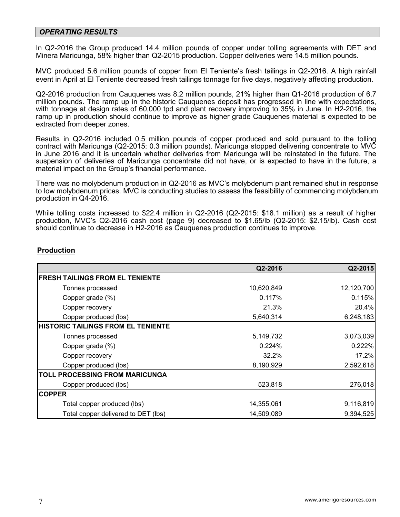### *OPERATING RESULTS*

In Q2-2016 the Group produced 14.4 million pounds of copper under tolling agreements with DET and Minera Maricunga, 58% higher than Q2-2015 production. Copper deliveries were 14.5 million pounds.

MVC produced 5.6 million pounds of copper from El Teniente's fresh tailings in Q2-2016. A high rainfall event in April at El Teniente decreased fresh tailings tonnage for five days, negatively affecting production.

Q2-2016 production from Cauquenes was 8.2 million pounds, 21% higher than Q1-2016 production of 6.7 million pounds. The ramp up in the historic Cauquenes deposit has progressed in line with expectations, with tonnage at design rates of 60,000 tpd and plant recovery improving to 35% in June. In H2-2016, the ramp up in production should continue to improve as higher grade Cauquenes material is expected to be extracted from deeper zones.

Results in Q2-2016 included 0.5 million pounds of copper produced and sold pursuant to the tolling contract with Maricunga (Q2-2015: 0.3 million pounds). Maricunga stopped delivering concentrate to MVC in June 2016 and it is uncertain whether deliveries from Maricunga will be reinstated in the future. The suspension of deliveries of Maricunga concentrate did not have, or is expected to have in the future, a material impact on the Group's financial performance.

There was no molybdenum production in Q2-2016 as MVC's molybdenum plant remained shut in response to low molybdenum prices. MVC is conducting studies to assess the feasibility of commencing molybdenum production in Q4-2016.

While tolling costs increased to \$22.4 million in Q2-2016 (Q2-2015: \$18.1 million) as a result of higher production, MVC's Q2-2016 cash cost (page 9) decreased to \$1.65/lb (Q2-2015: \$2.15/lb). Cash cost should continue to decrease in H2-2016 as Cauquenes production continues to improve.

|                                           | Q2-2016    | Q2-2015    |
|-------------------------------------------|------------|------------|
| <b>FRESH TAILINGS FROM EL TENIENTE</b>    |            |            |
| Tonnes processed                          | 10,620,849 | 12,120,700 |
| Copper grade (%)                          | 0.117%     | 0.115%     |
| Copper recovery                           | 21.3%      | 20.4%      |
| Copper produced (lbs)                     | 5,640,314  | 6,248,183  |
| <b>HISTORIC TAILINGS FROM EL TENIENTE</b> |            |            |
| Tonnes processed                          | 5,149,732  | 3,073,039  |
| Copper grade (%)                          | 0.224%     | 0.222%     |
| Copper recovery                           | 32.2%      | 17.2%      |
| Copper produced (lbs)                     | 8,190,929  | 2,592,618  |
| <b>TOLL PROCESSING FROM MARICUNGA</b>     |            |            |
| Copper produced (lbs)                     | 523,818    | 276,018    |
| <b>COPPER</b>                             |            |            |
| Total copper produced (lbs)               | 14,355,061 | 9,116,819  |
| Total copper delivered to DET (lbs)       | 14,509,089 | 9,394,525  |

# **Production**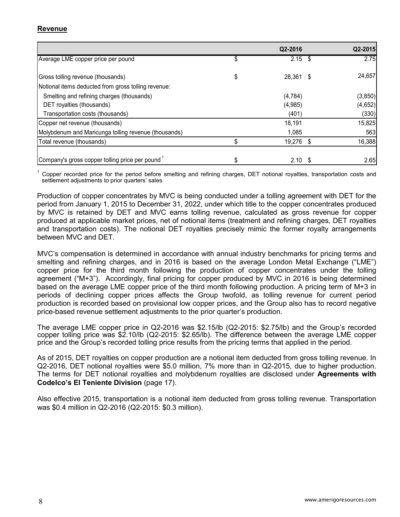# **Revenue**

|                                                      | Q2-2016           | Q2-2015 |
|------------------------------------------------------|-------------------|---------|
| Average LME copper price per pound                   | \$<br>$2.15$ \$   | 2.75    |
| Gross tolling revenue (thousands)                    | \$<br>28,361 \$   | 24,657  |
| Notional items deducted from gross tolling revenue:  |                   |         |
| Smelting and refining charges (thousands)            | (4,784)           | (3,850) |
| DET royalties (thousands)                            | (4,985)           | (4,652) |
| Transportation costs (thousands)                     | (401)             | (330)   |
| Copper net revenue (thousands)                       | 18,191            | 15,825  |
| Molybdenum and Maricunga tolling revenue (thousands) | 1,085             | 563     |
| Total revenue (thousands)                            | 19,276 \$         | 16,388  |
| Company's gross copper tolling price per pound 1     | 2.10 <sup>5</sup> | 2.65    |

<sup>1</sup> Copper recorded price for the period before smelting and refining charges, DET notional royalties, transportation costs and settlement adjustments to prior quarters' sales.

Production of copper concentrates by MVC is being conducted under a tolling agreement with DET for the period from January 1, 2015 to December 31, 2022, under which title to the copper concentrates produced by MVC is retained by DET and MVC earns tolling revenue, calculated as gross revenue for copper produced at applicable market prices, net of notional items (treatment and refining charges, DET royalties and transportation costs). The notional DET royalties precisely mimic the former royalty arrangements between MVC and DET.

MVC's compensation is determined in accordance with annual industry benchmarks for pricing terms and smelting and refining charges, and in 2016 is based on the average London Metal Exchange ("LME") copper price for the third month following the production of copper concentrates under the tolling agreement ("M+3"). Accordingly, final pricing for copper produced by MVC in 2016 is being determined based on the average LME copper price of the third month following production. A pricing term of M+3 in periods of declining copper prices affects the Group twofold, as tolling revenue for current period production is recorded based on provisional low copper prices, and the Group also has to record negative price-based revenue settlement adjustments to the prior quarter's production.

The average LME copper price in Q2-2016 was \$2.15/lb (Q2-2015: \$2.75/lb) and the Group's recorded copper tolling price was \$2.10/lb (Q2-2015: \$2.65/lb). The difference between the average LME copper price and the Group's recorded tolling price results from the pricing terms that applied in the period.

As of 2015, DET royalties on copper production are a notional item deducted from gross tolling revenue. In Q2-2016, DET notional royalties were \$5.0 million, 7% more than in Q2-2015, due to higher production. The terms for DET notional royalties and molybdenum royalties are disclosed under **Agreements with Codelco's El Teniente Division** (page 17).

Also effective 2015, transportation is a notional item deducted from gross tolling revenue. Transportation was \$0.4 million in Q2-2016 (Q2-2015: \$0.3 million).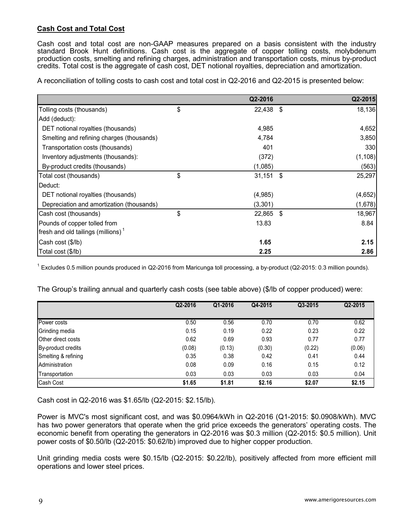# **Cash Cost and Total Cost**

Cash cost and total cost are non-GAAP measures prepared on a basis consistent with the industry standard Brook Hunt definitions. Cash cost is the aggregate of copper tolling costs, molybdenum production costs, smelting and refining charges, administration and transportation costs, minus by-product credits. Total cost is the aggregate of cash cost, DET notional royalties, depreciation and amortization.

A reconciliation of tolling costs to cash cost and total cost in Q2-2016 and Q2-2015 is presented below:

|                                                | Q2-2016         |      | Q2-2015  |
|------------------------------------------------|-----------------|------|----------|
| Tolling costs (thousands)                      | \$<br>22,438 \$ |      | 18,136   |
| Add (deduct):                                  |                 |      |          |
| DET notional royalties (thousands)             | 4,985           |      | 4,652    |
| Smelting and refining charges (thousands)      | 4,784           |      | 3,850    |
| Transportation costs (thousands)               | 401             |      | 330      |
| Inventory adjustments (thousands):             | (372)           |      | (1, 108) |
| By-product credits (thousands)                 | (1,085)         |      | (563)    |
| Total cost (thousands)                         | \$<br>31,151    | - \$ | 25,297   |
| Deduct:                                        |                 |      |          |
| DET notional royalties (thousands)             | (4,985)         |      | (4,652)  |
| Depreciation and amortization (thousands)      | (3,301)         |      | (1,678)  |
| Cash cost (thousands)                          | \$<br>22,865    | - \$ | 18,967   |
| Pounds of copper tolled from                   | 13.83           |      | 8.84     |
| fresh and old tailings (millions) <sup>1</sup> |                 |      |          |
| Cash cost (\$/lb)                              | 1.65            |      | 2.15     |
| Total cost (\$/lb)                             | 2.25            |      | 2.86     |

<sup>1</sup> Excludes 0.5 million pounds produced in Q2-2016 from Maricunga toll processing, a by-product (Q2-2015: 0.3 million pounds).

| The Group's trailing annual and quarterly cash costs (see table above) (\$/lb of copper produced) were: |  |  |
|---------------------------------------------------------------------------------------------------------|--|--|
|---------------------------------------------------------------------------------------------------------|--|--|

|                           | Q2-2016 | Q1-2016 | Q4-2015 | Q3-2015 | Q2-2015 |
|---------------------------|---------|---------|---------|---------|---------|
|                           |         |         |         |         |         |
| Power costs               | 0.50    | 0.56    | 0.70    | 0.70    | 0.62    |
| Grinding media            | 0.15    | 0.19    | 0.22    | 0.23    | 0.22    |
| <b>Other direct costs</b> | 0.62    | 0.69    | 0.93    | 0.77    | 0.77    |
| By-product credits        | (0.08)  | (0.13)  | (0.30)  | (0.22)  | (0.06)  |
| Smelting & refining       | 0.35    | 0.38    | 0.42    | 0.41    | 0.44    |
| Administration            | 0.08    | 0.09    | 0.16    | 0.15    | 0.12    |
| Transportation            | 0.03    | 0.03    | 0.03    | 0.03    | 0.04    |
| Cash Cost                 | \$1.65  | \$1.81  | \$2.16  | \$2.07  | \$2.15  |

Cash cost in Q2-2016 was \$1.65/lb (Q2-2015: \$2.15/lb).

Power is MVC's most significant cost, and was \$0.0964/kWh in Q2-2016 (Q1-2015: \$0.0908/kWh). MVC has two power generators that operate when the grid price exceeds the generators' operating costs. The economic benefit from operating the generators in Q2-2016 was \$0.3 million (Q2-2015: \$0.5 million). Unit power costs of \$0.50/lb (Q2-2015: \$0.62/lb) improved due to higher copper production.

Unit grinding media costs were \$0.15/lb (Q2-2015: \$0.22/lb), positively affected from more efficient mill operations and lower steel prices.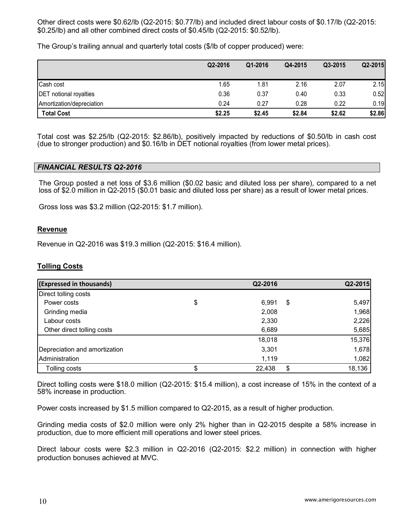Other direct costs were \$0.62/lb (Q2-2015: \$0.77/lb) and included direct labour costs of \$0.17/lb (Q2-2015: \$0.25/lb) and all other combined direct costs of \$0.45/lb (Q2-2015: \$0.52/lb).

The Group's trailing annual and quarterly total costs (\$/lb of copper produced) were:

|                               | Q2-2016 | Q1-2016 | Q4-2015 | Q3-2015 | Q2-2015 |
|-------------------------------|---------|---------|---------|---------|---------|
| Cash cost                     | 1.65    | 1.81    | 2.16    | 2.07    | 2.15    |
| <b>DET</b> notional royalties | 0.36    | 0.37    | 0.40    | 0.33    | 0.52    |
| Amortization/depreciation     | 0.24    | 0.27    | 0.28    | 0.22    | 0.19    |
| <b>Total Cost</b>             | \$2.25  | \$2.45  | \$2.84  | \$2.62  | \$2.86  |

Total cost was \$2.25/lb (Q2-2015: \$2.86/lb), positively impacted by reductions of \$0.50/lb in cash cost (due to stronger production) and \$0.16/lb in DET notional royalties (from lower metal prices).

### *FINANCIAL RESULTS Q2-2016*

The Group posted a net loss of \$3.6 million (\$0.02 basic and diluted loss per share), compared to a net loss of \$2.0 million in Q2-2015 (\$0.01 basic and diluted loss per share) as a result of lower metal prices.

Gross loss was \$3.2 million (Q2-2015: \$1.7 million).

### **Revenue**

Revenue in Q2-2016 was \$19.3 million (Q2-2015: \$16.4 million).

# **Tolling Costs**

| (Expressed in thousands)      | Q2-2016     | Q2-2015      |
|-------------------------------|-------------|--------------|
| Direct tolling costs          |             |              |
| Power costs                   | \$<br>6,991 | \$<br>5,497  |
| Grinding media                | 2,008       | 1,968        |
| Labour costs                  | 2,330       | 2,226        |
| Other direct tolling costs    | 6,689       | 5,685        |
|                               | 18,018      | 15,376       |
| Depreciation and amortization | 3,301       | 1,678        |
| Administration                | 1,119       | 1,082        |
| Tolling costs                 | 22,438      | \$<br>18,136 |

Direct tolling costs were \$18.0 million (Q2-2015: \$15.4 million), a cost increase of 15% in the context of a 58% increase in production.

Power costs increased by \$1.5 million compared to Q2-2015, as a result of higher production.

Grinding media costs of \$2.0 million were only 2% higher than in Q2-2015 despite a 58% increase in production, due to more efficient mill operations and lower steel prices.

Direct labour costs were \$2.3 million in Q2-2016 (Q2-2015: \$2.2 million) in connection with higher production bonuses achieved at MVC.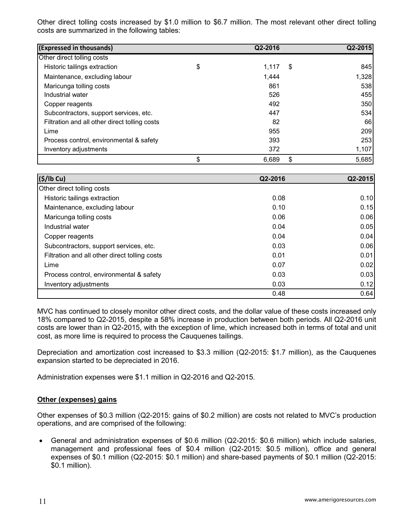Other direct tolling costs increased by \$1.0 million to \$6.7 million. The most relevant other direct tolling costs are summarized in the following tables:

| (Expressed in thousands)                      | Q2-2016     |      | Q2-2015 |
|-----------------------------------------------|-------------|------|---------|
| Other direct tolling costs                    |             |      |         |
| Historic tailings extraction                  | \$<br>1,117 | - \$ | 845     |
| Maintenance, excluding labour                 | 1,444       |      | 1,328   |
| Maricunga tolling costs                       | 861         |      | 538     |
| Industrial water                              | 526         |      | 455     |
| Copper reagents                               | 492         |      | 350     |
| Subcontractors, support services, etc.        | 447         |      | 534     |
| Filtration and all other direct tolling costs | 82          |      | 66      |
| Lime                                          | 955         |      | 209     |
| Process control, environmental & safety       | 393         |      | 253     |
| Inventory adjustments                         | 372         |      | 1,107   |
|                                               | \$<br>6,689 | \$   | 5,685   |

| $(\frac{1}{2}/lb Cu)$                         | Q2-2016 | Q2-2015 |
|-----------------------------------------------|---------|---------|
| Other direct tolling costs                    |         |         |
| Historic tailings extraction                  | 0.08    | 0.10    |
| Maintenance, excluding labour                 | 0.10    | 0.15    |
| Maricunga tolling costs                       | 0.06    | 0.06    |
| Industrial water                              | 0.04    | 0.05    |
| Copper reagents                               | 0.04    | 0.04    |
| Subcontractors, support services, etc.        | 0.03    | 0.06    |
| Filtration and all other direct tolling costs | 0.01    | 0.01    |
| Lime                                          | 0.07    | 0.02    |
| Process control, environmental & safety       | 0.03    | 0.03    |
| Inventory adjustments                         | 0.03    | 0.12    |
|                                               | 0.48    | 0.64    |

MVC has continued to closely monitor other direct costs, and the dollar value of these costs increased only 18% compared to Q2-2015, despite a 58% increase in production between both periods. All Q2-2016 unit costs are lower than in Q2-2015, with the exception of lime, which increased both in terms of total and unit cost, as more lime is required to process the Cauquenes tailings.

Depreciation and amortization cost increased to \$3.3 million (Q2-2015: \$1.7 million), as the Cauquenes expansion started to be depreciated in 2016.

Administration expenses were \$1.1 million in Q2-2016 and Q2-2015.

# **Other (expenses) gains**

Other expenses of \$0.3 million (Q2-2015: gains of \$0.2 million) are costs not related to MVC's production operations, and are comprised of the following:

 General and administration expenses of \$0.6 million (Q2-2015: \$0.6 million) which include salaries, management and professional fees of \$0.4 million (Q2-2015: \$0.5 million), office and general expenses of \$0.1 million (Q2-2015: \$0.1 million) and share-based payments of \$0.1 million (Q2-2015: \$0.1 million).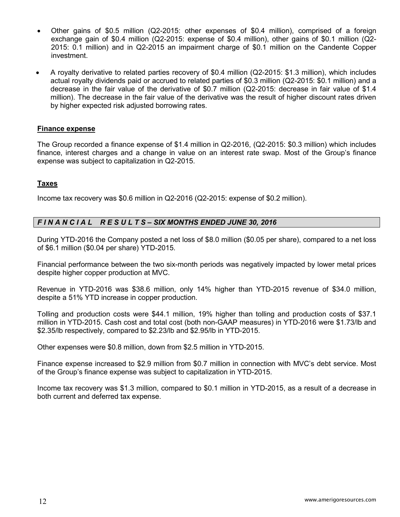- Other gains of \$0.5 million (Q2-2015: other expenses of \$0.4 million), comprised of a foreign exchange gain of \$0.4 million (Q2-2015: expense of \$0.4 million), other gains of \$0.1 million (Q2- 2015: 0.1 million) and in Q2-2015 an impairment charge of \$0.1 million on the Candente Copper investment.
- A royalty derivative to related parties recovery of \$0.4 million (Q2-2015: \$1.3 million), which includes actual royalty dividends paid or accrued to related parties of \$0.3 million (Q2-2015: \$0.1 million) and a decrease in the fair value of the derivative of \$0.7 million (Q2-2015: decrease in fair value of \$1.4 million). The decrease in the fair value of the derivative was the result of higher discount rates driven by higher expected risk adjusted borrowing rates.

### **Finance expense**

The Group recorded a finance expense of \$1.4 million in Q2-2016, (Q2-2015: \$0.3 million) which includes finance, interest charges and a change in value on an interest rate swap. Most of the Group's finance expense was subject to capitalization in Q2-2015.

### **Taxes**

Income tax recovery was \$0.6 million in Q2-2016 (Q2-2015: expense of \$0.2 million).

# *F I N A N C I A L R E S U L T S – SIX MONTHS ENDED JUNE 30, 2016*

During YTD-2016 the Company posted a net loss of \$8.0 million (\$0.05 per share), compared to a net loss of \$6.1 million (\$0.04 per share) YTD-2015.

Financial performance between the two six-month periods was negatively impacted by lower metal prices despite higher copper production at MVC.

Revenue in YTD-2016 was \$38.6 million, only 14% higher than YTD-2015 revenue of \$34.0 million, despite a 51% YTD increase in copper production.

Tolling and production costs were \$44.1 million, 19% higher than tolling and production costs of \$37.1 million in YTD-2015. Cash cost and total cost (both non-GAAP measures) in YTD-2016 were \$1.73/lb and \$2.35/lb respectively, compared to \$2.23/lb and \$2.95/lb in YTD-2015.

Other expenses were \$0.8 million, down from \$2.5 million in YTD-2015.

Finance expense increased to \$2.9 million from \$0.7 million in connection with MVC's debt service. Most of the Group's finance expense was subject to capitalization in YTD-2015.

Income tax recovery was \$1.3 million, compared to \$0.1 million in YTD-2015, as a result of a decrease in both current and deferred tax expense.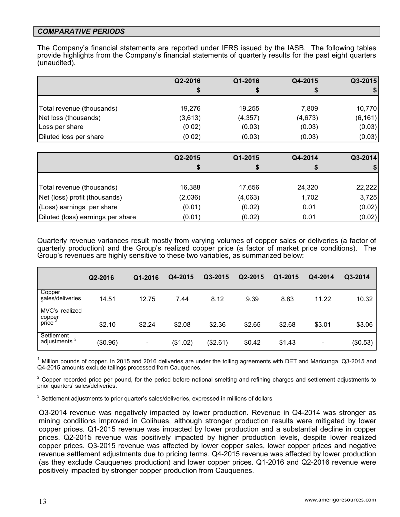### *COMPARATIVE PERIODS*

The Company's financial statements are reported under IFRS issued by the IASB. The following tables provide highlights from the Company's financial statements of quarterly results for the past eight quarters (unaudited).

|                                   | Q2-2016 | Q1-2016  | Q4-2015 | Q3-2015  |
|-----------------------------------|---------|----------|---------|----------|
|                                   |         | \$       | \$      |          |
|                                   |         |          |         |          |
| Total revenue (thousands)         | 19,276  | 19,255   | 7,809   | 10,770   |
| Net loss (thousands)              | (3,613) | (4, 357) | (4,673) | (6, 161) |
| Loss per share                    | (0.02)  | (0.03)   | (0.03)  | (0.03)   |
| Diluted loss per share            | (0.02)  | (0.03)   | (0.03)  | (0.03)   |
|                                   |         |          |         |          |
|                                   | Q2-2015 | Q1-2015  | Q4-2014 | Q3-2014  |
|                                   |         |          |         |          |
|                                   |         |          |         |          |
| Total revenue (thousands)         | 16,388  | 17,656   | 24,320  | 22,222   |
| Net (loss) profit (thousands)     | (2,036) | (4,063)  | 1,702   | 3,725    |
| (Loss) earnings per share         | (0.01)  | (0.02)   | 0.01    | (0.02)   |
| Diluted (loss) earnings per share | (0.01)  | (0.02)   | 0.01    | (0.02)   |

Quarterly revenue variances result mostly from varying volumes of copper sales or deliveries (a factor of quarterly production) and the Group's realized copper price (a factor of market price conditions). The Group's revenues are highly sensitive to these two variables, as summarized below:

|                                   | Q2-2016  | Q1-2016                  | Q4-2015  | Q3-2015  | Q2-2015 | Q1-2015 | Q4-2014                  | Q3-2014  |
|-----------------------------------|----------|--------------------------|----------|----------|---------|---------|--------------------------|----------|
| Copper<br>sales/deliveries        | 14.51    | 12.75                    | 7.44     | 8.12     | 9.39    | 8.83    | 11.22                    | 10.32    |
| MVC's realized<br>copper<br>price | \$2.10   | \$2.24                   | \$2.08   | \$2.36   | \$2.65  | \$2.68  | \$3.01                   | \$3.06   |
| Settlement<br>adjustments         | (\$0.96) | $\overline{\phantom{a}}$ | (\$1.02) | (\$2.61) | \$0.42  | \$1.43  | $\overline{\phantom{a}}$ | (\$0.53) |

 $1$  Million pounds of copper. In 2015 and 2016 deliveries are under the tolling agreements with DET and Maricunga. Q3-2015 and Q4-2015 amounts exclude tailings processed from Cauquenes.

 $2$  Copper recorded price per pound, for the period before notional smelting and refining charges and settlement adjustments to prior quarters' sales/deliveries.

 $3$  Settlement adjustments to prior quarter's sales/deliveries, expressed in millions of dollars

Q3-2014 revenue was negatively impacted by lower production. Revenue in Q4-2014 was stronger as mining conditions improved in Colihues, although stronger production results were mitigated by lower copper prices. Q1-2015 revenue was impacted by lower production and a substantial decline in copper prices. Q2-2015 revenue was positively impacted by higher production levels, despite lower realized copper prices. Q3-2015 revenue was affected by lower copper sales, lower copper prices and negative revenue settlement adjustments due to pricing terms. Q4-2015 revenue was affected by lower production (as they exclude Cauquenes production) and lower copper prices. Q1-2016 and Q2-2016 revenue were positively impacted by stronger copper production from Cauquenes.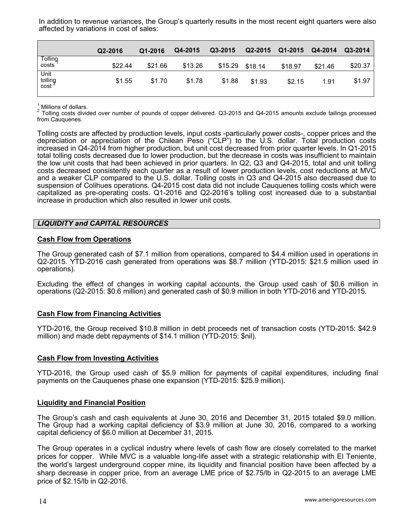In addition to revenue variances, the Group's quarterly results in the most recent eight quarters were also affected by variations in cost of sales:

|                                      | Q2-2016 | Q1-2016 | Q4-2015 | Q3-2015 | Q2-2015 | Q1-2015 | Q4-2014 | Q3-2014 |
|--------------------------------------|---------|---------|---------|---------|---------|---------|---------|---------|
| Tolling<br>costs                     | \$22.44 | \$21.66 | \$13.26 | \$15.29 | \$18.14 | \$18.97 | \$21.46 | \$20.37 |
| Unit<br>tolling<br>cost <sup>2</sup> | \$1.55  | \$1.70  | \$1.78  | \$1.88  | \$1.93  | \$2.15  | 1.91    | \$1.97  |

<sup>1</sup> Millions of dollars.<br><sup>2</sup> Tolling costs divided over number of pounds of copper delivered. Q3-2015 and Q4-2015 amounts exclude tailings processed from Cauquenes.

Tolling costs are affected by production levels, input costs -particularly power costs-, copper prices and the depreciation or appreciation of the Chilean Peso ("CLP") to the U.S. dollar. Total production costs increased in Q4-2014 from higher production, but unit cost decreased from prior quarter levels. In Q1-2015 total tolling costs decreased due to lower production, but the decrease in costs was insufficient to maintain the low unit costs that had been achieved in prior quarters. In Q2, Q3 and Q4-2015, total and unit tolling costs decreased consistently each quarter as a result of lower production levels, cost reductions at MVC and a weaker CLP compared to the U.S. dollar. Tolling costs in Q3 and Q4-2015 also decreased due to suspension of Colihues operations. Q4-2015 cost data did not include Cauquenes tolling costs which were capitalized as pre-operating costs. Q1-2016 and Q2-2016's tolling cost increased due to a substantial increase in production which also resulted in lower unit costs.

# *LIQUIDITY and CAPITAL RESOURCES*

### **Cash Flow from Operations**

The Group generated cash of \$7.1 million from operations, compared to \$4.4 million used in operations in Q2-2015. YTD-2016 cash generated from operations was \$8.7 million (YTD-2015: \$21.5 million used in operations).

Excluding the effect of changes in working capital accounts, the Group used cash of \$0.6 million in operations (Q2-2015: \$0.6 million) and generated cash of \$0.9 million in both YTD-2016 and YTD-2015.

# **Cash Flow from Financing Activities**

YTD-2016, the Group received \$10.8 million in debt proceeds net of transaction costs (YTD-2015: \$42.9 million) and made debt repayments of \$14.1 million (YTD-2015: \$nil).

### **Cash Flow from Investing Activities**

YTD-2016, the Group used cash of \$5.9 million for payments of capital expenditures, including final payments on the Cauquenes phase one expansion (YTD-2015: \$25.9 million).

### **Liquidity and Financial Position**

The Group's cash and cash equivalents at June 30, 2016 and December 31, 2015 totaled \$9.0 million. The Group had a working capital deficiency of \$3.9 million at June 30, 2016, compared to a working capital deficiency of \$6.0 million at December 31, 2015.

The Group operates in a cyclical industry where levels of cash flow are closely correlated to the market prices for copper. While MVC is a valuable long-life asset with a strategic relationship with El Teniente, the world's largest underground copper mine, its liquidity and financial position have been affected by a sharp decrease in copper price, from an average LME price of \$2.75/lb in Q2-2015 to an average LME price of \$2.15/lb in Q2-2016.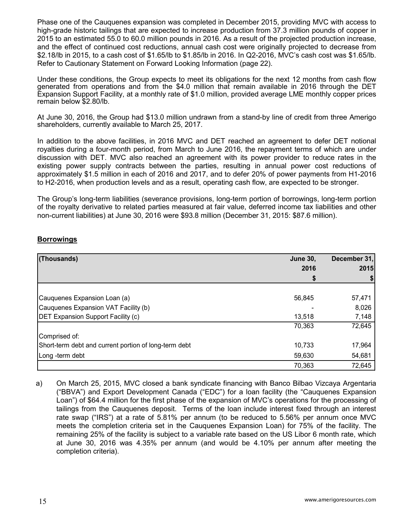Phase one of the Cauquenes expansion was completed in December 2015, providing MVC with access to high-grade historic tailings that are expected to increase production from 37.3 million pounds of copper in 2015 to an estimated 55.0 to 60.0 million pounds in 2016. As a result of the projected production increase, and the effect of continued cost reductions, annual cash cost were originally projected to decrease from \$2.18/lb in 2015, to a cash cost of \$1.65/lb to \$1.85/lb in 2016. In Q2-2016, MVC's cash cost was \$1.65/lb. Refer to Cautionary Statement on Forward Looking Information (page 22).

Under these conditions, the Group expects to meet its obligations for the next 12 months from cash flow generated from operations and from the \$4.0 million that remain available in 2016 through the DET Expansion Support Facility, at a monthly rate of \$1.0 million, provided average LME monthly copper prices remain below \$2.80/lb.

At June 30, 2016, the Group had \$13.0 million undrawn from a stand-by line of credit from three Amerigo shareholders, currently available to March 25, 2017.

In addition to the above facilities, in 2016 MVC and DET reached an agreement to defer DET notional royalties during a four-month period, from March to June 2016, the repayment terms of which are under discussion with DET. MVC also reached an agreement with its power provider to reduce rates in the existing power supply contracts between the parties, resulting in annual power cost reductions of approximately \$1.5 million in each of 2016 and 2017, and to defer 20% of power payments from H1-2016 to H2-2016, when production levels and as a result, operating cash flow, are expected to be stronger.

The Group's long-term liabilities (severance provisions, long-term portion of borrowings, long-term portion of the royalty derivative to related parties measured at fair value, deferred income tax liabilities and other non-current liabilities) at June 30, 2016 were \$93.8 million (December 31, 2015: \$87.6 million).

# **Borrowings**

| (Thousands)                                           | <b>June 30,</b> | December 31, |
|-------------------------------------------------------|-----------------|--------------|
|                                                       | 2016            | 2015         |
|                                                       |                 |              |
|                                                       |                 |              |
| Cauquenes Expansion Loan (a)                          | 56,845          | 57,471       |
| Cauquenes Expansion VAT Facility (b)                  |                 | 8,026        |
| <b>DET Expansion Support Facility (c)</b>             | 13,518          | 7,148        |
|                                                       | 70,363          | 72,645       |
| Comprised of:                                         |                 |              |
| Short-term debt and current portion of long-term debt | 10,733          | 17,964       |
| Long -term debt                                       | 59,630          | 54,681       |
|                                                       | 70,363          | 72,645       |

a) On March 25, 2015, MVC closed a bank syndicate financing with Banco Bilbao Vizcaya Argentaria ("BBVA") and Export Development Canada ("EDC") for a loan facility (the "Cauquenes Expansion Loan") of \$64.4 million for the first phase of the expansion of MVC's operations for the processing of tailings from the Cauquenes deposit. Terms of the loan include interest fixed through an interest rate swap ("IRS") at a rate of 5.81% per annum (to be reduced to 5.56% per annum once MVC meets the completion criteria set in the Cauquenes Expansion Loan) for 75% of the facility. The remaining 25% of the facility is subject to a variable rate based on the US Libor 6 month rate, which at June 30, 2016 was 4.35% per annum (and would be 4.10% per annum after meeting the completion criteria).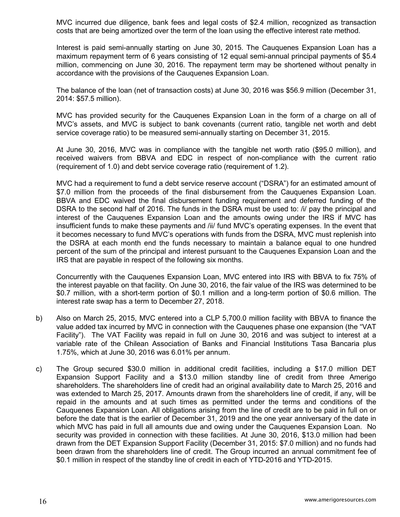MVC incurred due diligence, bank fees and legal costs of \$2.4 million, recognized as transaction costs that are being amortized over the term of the loan using the effective interest rate method.

Interest is paid semi-annually starting on June 30, 2015. The Cauquenes Expansion Loan has a maximum repayment term of 6 years consisting of 12 equal semi-annual principal payments of \$5.4 million, commencing on June 30, 2016. The repayment term may be shortened without penalty in accordance with the provisions of the Cauquenes Expansion Loan.

The balance of the loan (net of transaction costs) at June 30, 2016 was \$56.9 million (December 31, 2014: \$57.5 million).

MVC has provided security for the Cauquenes Expansion Loan in the form of a charge on all of MVC's assets, and MVC is subject to bank covenants (current ratio, tangible net worth and debt service coverage ratio) to be measured semi-annually starting on December 31, 2015.

At June 30, 2016, MVC was in compliance with the tangible net worth ratio (\$95.0 million), and received waivers from BBVA and EDC in respect of non-compliance with the current ratio (requirement of 1.0) and debt service coverage ratio (requirement of 1.2).

MVC had a requirement to fund a debt service reserve account ("DSRA") for an estimated amount of \$7.0 million from the proceeds of the final disbursement from the Cauquenes Expansion Loan. BBVA and EDC waived the final disbursement funding requirement and deferred funding of the DSRA to the second half of 2016. The funds in the DSRA must be used to: /i/ pay the principal and interest of the Cauquenes Expansion Loan and the amounts owing under the IRS if MVC has insufficient funds to make these payments and /ii/ fund MVC's operating expenses. In the event that it becomes necessary to fund MVC's operations with funds from the DSRA, MVC must replenish into the DSRA at each month end the funds necessary to maintain a balance equal to one hundred percent of the sum of the principal and interest pursuant to the Cauquenes Expansion Loan and the IRS that are payable in respect of the following six months.

Concurrently with the Cauquenes Expansion Loan, MVC entered into IRS with BBVA to fix 75% of the interest payable on that facility. On June 30, 2016, the fair value of the IRS was determined to be \$0.7 million, with a short-term portion of \$0.1 million and a long-term portion of \$0.6 million. The interest rate swap has a term to December 27, 2018.

- b) Also on March 25, 2015, MVC entered into a CLP 5,700.0 million facility with BBVA to finance the value added tax incurred by MVC in connection with the Cauquenes phase one expansion (the "VAT Facility"). The VAT Facility was repaid in full on June 30, 2016 and was subject to interest at a variable rate of the Chilean Association of Banks and Financial Institutions Tasa Bancaria plus 1.75%, which at June 30, 2016 was 6.01% per annum.
- c) The Group secured \$30.0 million in additional credit facilities, including a \$17.0 million DET Expansion Support Facility and a \$13.0 million standby line of credit from three Amerigo shareholders. The shareholders line of credit had an original availability date to March 25, 2016 and was extended to March 25, 2017. Amounts drawn from the shareholders line of credit, if any, will be repaid in the amounts and at such times as permitted under the terms and conditions of the Cauquenes Expansion Loan. All obligations arising from the line of credit are to be paid in full on or before the date that is the earlier of December 31, 2019 and the one year anniversary of the date in which MVC has paid in full all amounts due and owing under the Cauquenes Expansion Loan. No security was provided in connection with these facilities. At June 30, 2016, \$13.0 million had been drawn from the DET Expansion Support Facility (December 31, 2015: \$7.0 million) and no funds had been drawn from the shareholders line of credit. The Group incurred an annual commitment fee of \$0.1 million in respect of the standby line of credit in each of YTD-2016 and YTD-2015.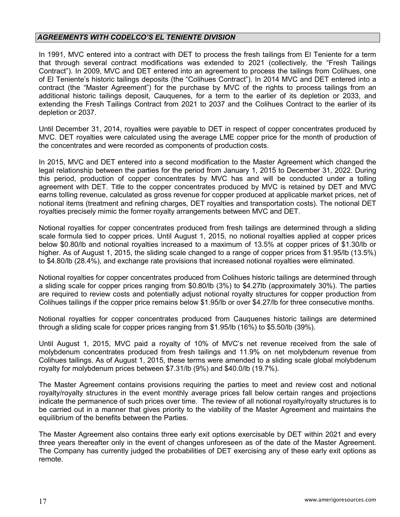# *AGREEMENTS WITH CODELCO'S EL TENIENTE DIVISION*

In 1991, MVC entered into a contract with DET to process the fresh tailings from El Teniente for a term that through several contract modifications was extended to 2021 (collectively, the "Fresh Tailings Contract"). In 2009, MVC and DET entered into an agreement to process the tailings from Colihues, one of El Teniente's historic tailings deposits (the "Colihues Contract"). In 2014 MVC and DET entered into a contract (the "Master Agreement") for the purchase by MVC of the rights to process tailings from an additional historic tailings deposit, Cauquenes, for a term to the earlier of its depletion or 2033, and extending the Fresh Tailings Contract from 2021 to 2037 and the Colihues Contract to the earlier of its depletion or 2037.

Until December 31, 2014, royalties were payable to DET in respect of copper concentrates produced by MVC. DET royalties were calculated using the average LME copper price for the month of production of the concentrates and were recorded as components of production costs.

In 2015, MVC and DET entered into a second modification to the Master Agreement which changed the legal relationship between the parties for the period from January 1, 2015 to December 31, 2022. During this period, production of copper concentrates by MVC has and will be conducted under a tolling agreement with DET. Title to the copper concentrates produced by MVC is retained by DET and MVC earns tolling revenue, calculated as gross revenue for copper produced at applicable market prices, net of notional items (treatment and refining charges, DET royalties and transportation costs). The notional DET royalties precisely mimic the former royalty arrangements between MVC and DET.

Notional royalties for copper concentrates produced from fresh tailings are determined through a sliding scale formula tied to copper prices. Until August 1, 2015, no notional royalties applied at copper prices below \$0.80/lb and notional royalties increased to a maximum of 13.5% at copper prices of \$1.30/lb or higher. As of August 1, 2015, the sliding scale changed to a range of copper prices from \$1.95/lb (13.5%) to \$4.80/lb (28.4%), and exchange rate provisions that increased notional royalties were eliminated.

Notional royalties for copper concentrates produced from Colihues historic tailings are determined through a sliding scale for copper prices ranging from \$0.80/lb (3%) to \$4.27lb (approximately 30%). The parties are required to review costs and potentially adjust notional royalty structures for copper production from Colihues tailings if the copper price remains below \$1.95/lb or over \$4.27/lb for three consecutive months.

Notional royalties for copper concentrates produced from Cauquenes historic tailings are determined through a sliding scale for copper prices ranging from \$1.95/lb (16%) to \$5.50/lb (39%).

Until August 1, 2015, MVC paid a royalty of 10% of MVC's net revenue received from the sale of molybdenum concentrates produced from fresh tailings and 11.9% on net molybdenum revenue from Colihues tailings. As of August 1, 2015, these terms were amended to a sliding scale global molybdenum royalty for molybdenum prices between \$7.31/lb (9%) and \$40.0/lb (19.7%).

The Master Agreement contains provisions requiring the parties to meet and review cost and notional royalty/royalty structures in the event monthly average prices fall below certain ranges and projections indicate the permanence of such prices over time. The review of all notional royalty/royalty structures is to be carried out in a manner that gives priority to the viability of the Master Agreement and maintains the equilibrium of the benefits between the Parties.

The Master Agreement also contains three early exit options exercisable by DET within 2021 and every three years thereafter only in the event of changes unforeseen as of the date of the Master Agreement. The Company has currently judged the probabilities of DET exercising any of these early exit options as remote.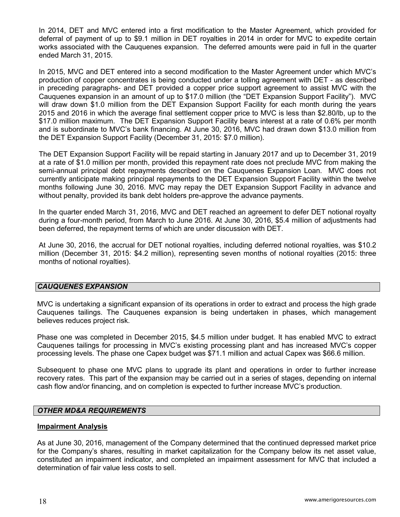In 2014, DET and MVC entered into a first modification to the Master Agreement, which provided for deferral of payment of up to \$9.1 million in DET royalties in 2014 in order for MVC to expedite certain works associated with the Cauquenes expansion. The deferred amounts were paid in full in the quarter ended March 31, 2015.

In 2015, MVC and DET entered into a second modification to the Master Agreement under which MVC's production of copper concentrates is being conducted under a tolling agreement with DET - as described in preceding paragraphs- and DET provided a copper price support agreement to assist MVC with the Cauquenes expansion in an amount of up to \$17.0 million (the "DET Expansion Support Facility"). MVC will draw down \$1.0 million from the DET Expansion Support Facility for each month during the years 2015 and 2016 in which the average final settlement copper price to MVC is less than \$2.80/lb, up to the \$17.0 million maximum. The DET Expansion Support Facility bears interest at a rate of 0.6% per month and is subordinate to MVC's bank financing. At June 30, 2016, MVC had drawn down \$13.0 million from the DET Expansion Support Facility (December 31, 2015: \$7.0 million).

The DET Expansion Support Facility will be repaid starting in January 2017 and up to December 31, 2019 at a rate of \$1.0 million per month, provided this repayment rate does not preclude MVC from making the semi-annual principal debt repayments described on the Cauquenes Expansion Loan. MVC does not currently anticipate making principal repayments to the DET Expansion Support Facility within the twelve months following June 30, 2016. MVC may repay the DET Expansion Support Facility in advance and without penalty, provided its bank debt holders pre-approve the advance payments.

In the quarter ended March 31, 2016, MVC and DET reached an agreement to defer DET notional royalty during a four-month period, from March to June 2016. At June 30, 2016, \$5.4 million of adjustments had been deferred, the repayment terms of which are under discussion with DET.

At June 30, 2016, the accrual for DET notional royalties, including deferred notional royalties, was \$10.2 million (December 31, 2015: \$4.2 million), representing seven months of notional royalties (2015: three months of notional royalties).

### *CAUQUENES EXPANSION*

MVC is undertaking a significant expansion of its operations in order to extract and process the high grade Cauquenes tailings. The Cauquenes expansion is being undertaken in phases, which management believes reduces project risk.

Phase one was completed in December 2015, \$4.5 million under budget. It has enabled MVC to extract Cauquenes tailings for processing in MVC's existing processing plant and has increased MVC's copper processing levels. The phase one Capex budget was \$71.1 million and actual Capex was \$66.6 million.

Subsequent to phase one MVC plans to upgrade its plant and operations in order to further increase recovery rates. This part of the expansion may be carried out in a series of stages, depending on internal cash flow and/or financing, and on completion is expected to further increase MVC's production.

### *OTHER MD&A REQUIREMENTS*

### **Impairment Analysis**

As at June 30, 2016, management of the Company determined that the continued depressed market price for the Company's shares, resulting in market capitalization for the Company below its net asset value, constituted an impairment indicator, and completed an impairment assessment for MVC that included a determination of fair value less costs to sell.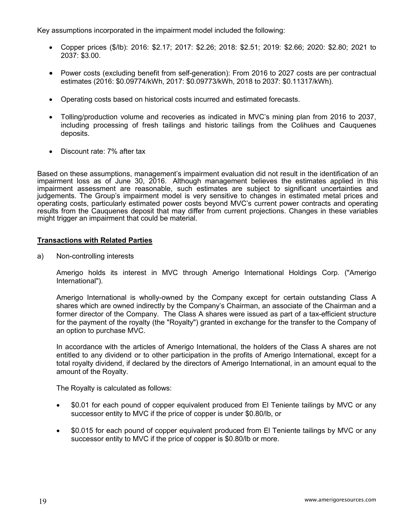Key assumptions incorporated in the impairment model included the following:

- Copper prices (\$/lb): 2016: \$2.17; 2017: \$2.26; 2018: \$2.51; 2019: \$2.66; 2020: \$2.80; 2021 to 2037: \$3.00.
- Power costs (excluding benefit from self-generation): From 2016 to 2027 costs are per contractual estimates (2016: \$0.09774/kWh, 2017: \$0.09773/kWh, 2018 to 2037: \$0.11317/kWh).
- Operating costs based on historical costs incurred and estimated forecasts.
- Tolling/production volume and recoveries as indicated in MVC's mining plan from 2016 to 2037, including processing of fresh tailings and historic tailings from the Colihues and Cauquenes deposits.
- Discount rate: 7% after tax

Based on these assumptions, management's impairment evaluation did not result in the identification of an impairment loss as of June 30, 2016. Although management believes the estimates applied in this impairment assessment are reasonable, such estimates are subject to significant uncertainties and judgements. The Group's impairment model is very sensitive to changes in estimated metal prices and operating costs, particularly estimated power costs beyond MVC's current power contracts and operating results from the Cauquenes deposit that may differ from current projections. Changes in these variables might trigger an impairment that could be material.

### **Transactions with Related Parties**

a) Non-controlling interests

Amerigo holds its interest in MVC through Amerigo International Holdings Corp. ("Amerigo International").

Amerigo International is wholly-owned by the Company except for certain outstanding Class A shares which are owned indirectly by the Company's Chairman, an associate of the Chairman and a former director of the Company. The Class A shares were issued as part of a tax-efficient structure for the payment of the royalty (the "Royalty") granted in exchange for the transfer to the Company of an option to purchase MVC.

In accordance with the articles of Amerigo International, the holders of the Class A shares are not entitled to any dividend or to other participation in the profits of Amerigo International, except for a total royalty dividend, if declared by the directors of Amerigo International, in an amount equal to the amount of the Royalty.

The Royalty is calculated as follows:

- \$0.01 for each pound of copper equivalent produced from El Teniente tailings by MVC or any successor entity to MVC if the price of copper is under \$0.80/lb, or
- \$0.015 for each pound of copper equivalent produced from El Teniente tailings by MVC or any successor entity to MVC if the price of copper is \$0.80/lb or more.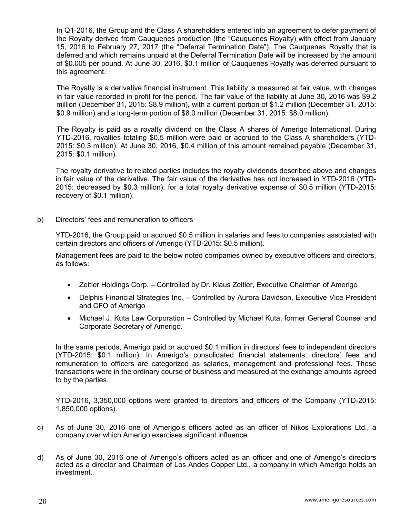In Q1-2016, the Group and the Class A shareholders entered into an agreement to defer payment of the Royalty derived from Cauquenes production (the "Cauquenes Royalty) with effect from January 15, 2016 to February 27, 2017 (the "Deferral Termination Date"). The Cauquenes Royalty that is deferred and which remains unpaid at the Deferral Termination Date will be increased by the amount of \$0.005 per pound. At June 30, 2016, \$0.1 million of Cauquenes Royalty was deferred pursuant to this agreement.

The Royalty is a derivative financial instrument. This liability is measured at fair value, with changes in fair value recorded in profit for the period. The fair value of the liability at June 30, 2016 was \$9.2 million (December 31, 2015: \$8.9 million), with a current portion of \$1.2 million (December 31, 2015: \$0.9 million) and a long-term portion of \$8.0 million (December 31, 2015: \$8.0 million).

The Royalty is paid as a royalty dividend on the Class A shares of Amerigo International. During YTD-2016, royalties totaling \$0.5 million were paid or accrued to the Class A shareholders (YTD-2015: \$0.3 million). At June 30, 2016, \$0.4 million of this amount remained payable (December 31, 2015: \$0.1 million).

The royalty derivative to related parties includes the royalty dividends described above and changes in fair value of the derivative. The fair value of the derivative has not increased in YTD-2016 (YTD-2015: decreased by \$0.3 million), for a total royalty derivative expense of \$0.5 million (YTD-2015: recovery of \$0.1 million).

b) Directors' fees and remuneration to officers

YTD-2016, the Group paid or accrued \$0.5 million in salaries and fees to companies associated with certain directors and officers of Amerigo (YTD-2015: \$0.5 million).

Management fees are paid to the below noted companies owned by executive officers and directors, as follows:

- Zeitler Holdings Corp. Controlled by Dr. Klaus Zeitler, Executive Chairman of Amerigo
- Delphis Financial Strategies Inc. Controlled by Aurora Davidson, Executive Vice President and CFO of Amerigo
- Michael J. Kuta Law Corporation Controlled by Michael Kuta, former General Counsel and Corporate Secretary of Amerigo.

In the same periods, Amerigo paid or accrued \$0.1 million in directors' fees to independent directors (YTD-2015: \$0.1 million). In Amerigo's consolidated financial statements, directors' fees and remuneration to officers are categorized as salaries, management and professional fees. These transactions were in the ordinary course of business and measured at the exchange amounts agreed to by the parties.

YTD-2016, 3,350,000 options were granted to directors and officers of the Company (YTD-2015: 1,850,000 options).

- c) As of June 30, 2016 one of Amerigo's officers acted as an officer of Nikos Explorations Ltd., a company over which Amerigo exercises significant influence.
- d) As of June 30, 2016 one of Amerigo's officers acted as an officer and one of Amerigo's directors acted as a director and Chairman of Los Andes Copper Ltd., a company in which Amerigo holds an investment.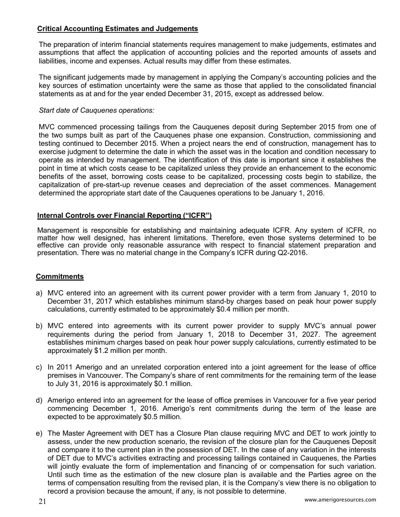# **Critical Accounting Estimates and Judgements**

The preparation of interim financial statements requires management to make judgements, estimates and assumptions that affect the application of accounting policies and the reported amounts of assets and liabilities, income and expenses. Actual results may differ from these estimates.

The significant judgements made by management in applying the Company's accounting policies and the key sources of estimation uncertainty were the same as those that applied to the consolidated financial statements as at and for the year ended December 31, 2015, except as addressed below.

### *Start date of Cauquenes operations:*

MVC commenced processing tailings from the Cauquenes deposit during September 2015 from one of the two sumps built as part of the Cauquenes phase one expansion. Construction, commissioning and testing continued to December 2015. When a project nears the end of construction, management has to exercise judgment to determine the date in which the asset was in the location and condition necessary to operate as intended by management. The identification of this date is important since it establishes the point in time at which costs cease to be capitalized unless they provide an enhancement to the economic benefits of the asset, borrowing costs cease to be capitalized, processing costs begin to stabilize, the capitalization of pre-start-up revenue ceases and depreciation of the asset commences. Management determined the appropriate start date of the Cauquenes operations to be January 1, 2016.

# **Internal Controls over Financial Reporting ("ICFR")**

Management is responsible for establishing and maintaining adequate ICFR. Any system of ICFR, no matter how well designed, has inherent limitations. Therefore, even those systems determined to be effective can provide only reasonable assurance with respect to financial statement preparation and presentation. There was no material change in the Company's ICFR during Q2-2016.

# **Commitments**

- a) MVC entered into an agreement with its current power provider with a term from January 1, 2010 to December 31, 2017 which establishes minimum stand-by charges based on peak hour power supply calculations, currently estimated to be approximately \$0.4 million per month.
- b) MVC entered into agreements with its current power provider to supply MVC's annual power requirements during the period from January 1, 2018 to December 31, 2027. The agreement establishes minimum charges based on peak hour power supply calculations, currently estimated to be approximately \$1.2 million per month.
- c) In 2011 Amerigo and an unrelated corporation entered into a joint agreement for the lease of office premises in Vancouver. The Company's share of rent commitments for the remaining term of the lease to July 31, 2016 is approximately \$0.1 million.
- d) Amerigo entered into an agreement for the lease of office premises in Vancouver for a five year period commencing December 1, 2016. Amerigo's rent commitments during the term of the lease are expected to be approximately \$0.5 million.
- e) The Master Agreement with DET has a Closure Plan clause requiring MVC and DET to work jointly to assess, under the new production scenario, the revision of the closure plan for the Cauquenes Deposit and compare it to the current plan in the possession of DET. In the case of any variation in the interests of DET due to MVC's activities extracting and processing tailings contained in Cauquenes, the Parties will jointly evaluate the form of implementation and financing of or compensation for such variation. Until such time as the estimation of the new closure plan is available and the Parties agree on the terms of compensation resulting from the revised plan, it is the Company's view there is no obligation to record a provision because the amount, if any, is not possible to determine.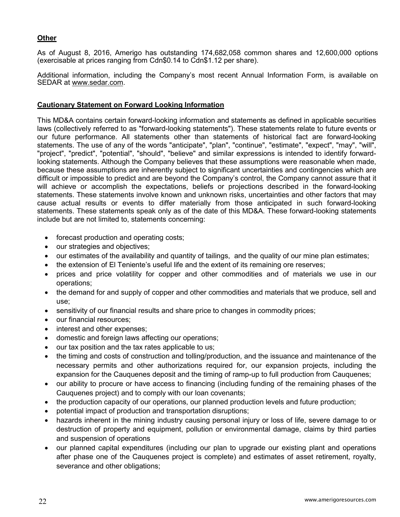# **Other**

As of August 8, 2016, Amerigo has outstanding 174,682,058 common shares and 12,600,000 options (exercisable at prices ranging from Cdn\$0.14 to Cdn\$1.12 per share).

Additional information, including the Company's most recent Annual Information Form, is available on SEDAR at www.sedar.com.

### **Cautionary Statement on Forward Looking Information**

This MD&A contains certain forward-looking information and statements as defined in applicable securities laws (collectively referred to as "forward-looking statements"). These statements relate to future events or our future performance. All statements other than statements of historical fact are forward-looking statements. The use of any of the words "anticipate", "plan", "continue", "estimate", "expect", "may", "will", "project", "predict", "potential", "should", "believe" and similar expressions is intended to identify forwardlooking statements. Although the Company believes that these assumptions were reasonable when made, because these assumptions are inherently subject to significant uncertainties and contingencies which are difficult or impossible to predict and are beyond the Company's control, the Company cannot assure that it will achieve or accomplish the expectations, beliefs or projections described in the forward-looking statements. These statements involve known and unknown risks, uncertainties and other factors that may cause actual results or events to differ materially from those anticipated in such forward-looking statements. These statements speak only as of the date of this MD&A. These forward-looking statements include but are not limited to, statements concerning:

- forecast production and operating costs;
- our strategies and objectives;
- our estimates of the availability and quantity of tailings, and the quality of our mine plan estimates;
- the extension of El Teniente's useful life and the extent of its remaining ore reserves;
- prices and price volatility for copper and other commodities and of materials we use in our operations;
- the demand for and supply of copper and other commodities and materials that we produce, sell and use;
- sensitivity of our financial results and share price to changes in commodity prices;
- our financial resources;
- interest and other expenses;
- domestic and foreign laws affecting our operations;
- our tax position and the tax rates applicable to us;
- the timing and costs of construction and tolling/production, and the issuance and maintenance of the necessary permits and other authorizations required for, our expansion projects, including the expansion for the Cauquenes deposit and the timing of ramp-up to full production from Cauquenes;
- our ability to procure or have access to financing (including funding of the remaining phases of the Cauquenes project) and to comply with our loan covenants;
- the production capacity of our operations, our planned production levels and future production;
- potential impact of production and transportation disruptions;
- hazards inherent in the mining industry causing personal injury or loss of life, severe damage to or destruction of property and equipment, pollution or environmental damage, claims by third parties and suspension of operations
- our planned capital expenditures (including our plan to upgrade our existing plant and operations after phase one of the Cauquenes project is complete) and estimates of asset retirement, royalty, severance and other obligations;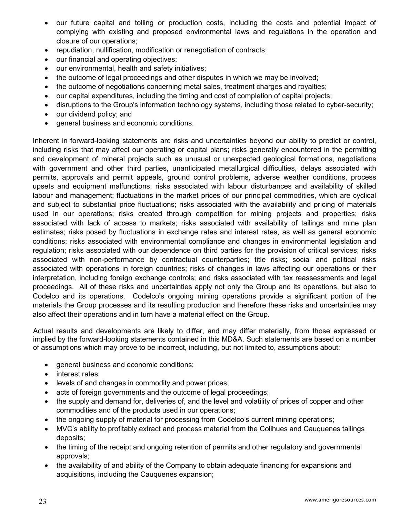- our future capital and tolling or production costs, including the costs and potential impact of complying with existing and proposed environmental laws and regulations in the operation and closure of our operations;
- repudiation, nullification, modification or renegotiation of contracts;
- our financial and operating objectives;
- our environmental, health and safety initiatives;
- the outcome of legal proceedings and other disputes in which we may be involved;
- the outcome of negotiations concerning metal sales, treatment charges and royalties;
- our capital expenditures, including the timing and cost of completion of capital projects;
- disruptions to the Group's information technology systems, including those related to cyber-security;
- our dividend policy; and
- general business and economic conditions.

Inherent in forward-looking statements are risks and uncertainties beyond our ability to predict or control, including risks that may affect our operating or capital plans; risks generally encountered in the permitting and development of mineral projects such as unusual or unexpected geological formations, negotiations with government and other third parties, unanticipated metallurgical difficulties, delays associated with permits, approvals and permit appeals, ground control problems, adverse weather conditions, process upsets and equipment malfunctions; risks associated with labour disturbances and availability of skilled labour and management; fluctuations in the market prices of our principal commodities, which are cyclical and subject to substantial price fluctuations; risks associated with the availability and pricing of materials used in our operations; risks created through competition for mining projects and properties; risks associated with lack of access to markets; risks associated with availability of tailings and mine plan estimates; risks posed by fluctuations in exchange rates and interest rates, as well as general economic conditions; risks associated with environmental compliance and changes in environmental legislation and regulation; risks associated with our dependence on third parties for the provision of critical services; risks associated with non-performance by contractual counterparties; title risks; social and political risks associated with operations in foreign countries; risks of changes in laws affecting our operations or their interpretation, including foreign exchange controls; and risks associated with tax reassessments and legal proceedings. All of these risks and uncertainties apply not only the Group and its operations, but also to Codelco and its operations. Codelco's ongoing mining operations provide a significant portion of the materials the Group processes and its resulting production and therefore these risks and uncertainties may also affect their operations and in turn have a material effect on the Group.

Actual results and developments are likely to differ, and may differ materially, from those expressed or implied by the forward-looking statements contained in this MD&A. Such statements are based on a number of assumptions which may prove to be incorrect, including, but not limited to, assumptions about:

- general business and economic conditions;
- interest rates:
- levels of and changes in commodity and power prices;
- acts of foreign governments and the outcome of legal proceedings;
- the supply and demand for, deliveries of, and the level and volatility of prices of copper and other commodities and of the products used in our operations;
- the ongoing supply of material for processing from Codelco's current mining operations;
- MVC's ability to profitably extract and process material from the Colihues and Cauquenes tailings deposits;
- the timing of the receipt and ongoing retention of permits and other regulatory and governmental approvals;
- the availability of and ability of the Company to obtain adequate financing for expansions and acquisitions, including the Cauquenes expansion;